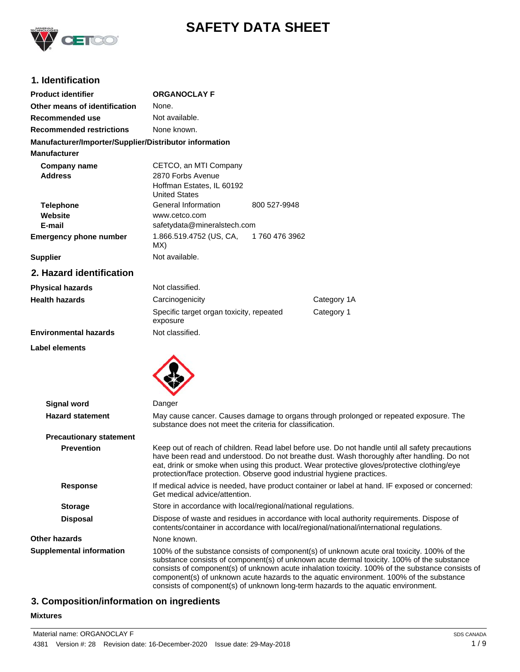

# **SAFETY DATA SHEET**

# **1. Identification**

| <b>Product identifier</b>                              | <b>ORGANOCLAY F</b>                                                                                                                                                                                                                                                        |                                                                                                                                                                                                |  |
|--------------------------------------------------------|----------------------------------------------------------------------------------------------------------------------------------------------------------------------------------------------------------------------------------------------------------------------------|------------------------------------------------------------------------------------------------------------------------------------------------------------------------------------------------|--|
| Other means of identification                          | None.                                                                                                                                                                                                                                                                      |                                                                                                                                                                                                |  |
| Recommended use                                        | Not available.                                                                                                                                                                                                                                                             |                                                                                                                                                                                                |  |
| <b>Recommended restrictions</b>                        | None known.                                                                                                                                                                                                                                                                |                                                                                                                                                                                                |  |
| Manufacturer/Importer/Supplier/Distributor information |                                                                                                                                                                                                                                                                            |                                                                                                                                                                                                |  |
| <b>Manufacturer</b>                                    |                                                                                                                                                                                                                                                                            |                                                                                                                                                                                                |  |
| Company name<br><b>Address</b>                         | CETCO, an MTI Company<br>2870 Forbs Avenue<br>Hoffman Estates, IL 60192<br><b>United States</b>                                                                                                                                                                            |                                                                                                                                                                                                |  |
| <b>Telephone</b><br>Website<br>E-mail                  | General Information<br>800 527-9948<br>www.cetco.com<br>safetydata@mineralstech.com                                                                                                                                                                                        |                                                                                                                                                                                                |  |
| <b>Emergency phone number</b>                          | 1.866.519.4752 (US, CA,<br>1760 476 3962<br>MX)                                                                                                                                                                                                                            |                                                                                                                                                                                                |  |
| <b>Supplier</b>                                        | Not available.                                                                                                                                                                                                                                                             |                                                                                                                                                                                                |  |
| 2. Hazard identification                               |                                                                                                                                                                                                                                                                            |                                                                                                                                                                                                |  |
| <b>Physical hazards</b>                                | Not classified.                                                                                                                                                                                                                                                            |                                                                                                                                                                                                |  |
| <b>Health hazards</b>                                  | Carcinogenicity                                                                                                                                                                                                                                                            | Category 1A                                                                                                                                                                                    |  |
|                                                        | Specific target organ toxicity, repeated<br>exposure                                                                                                                                                                                                                       | Category 1                                                                                                                                                                                     |  |
| <b>Environmental hazards</b>                           | Not classified.                                                                                                                                                                                                                                                            |                                                                                                                                                                                                |  |
|                                                        |                                                                                                                                                                                                                                                                            |                                                                                                                                                                                                |  |
| <b>Signal word</b>                                     | Danger                                                                                                                                                                                                                                                                     |                                                                                                                                                                                                |  |
| <b>Hazard statement</b>                                | May cause cancer. Causes damage to organs through prolonged or repeated exposure. The<br>substance does not meet the criteria for classification.                                                                                                                          |                                                                                                                                                                                                |  |
| <b>Precautionary statement</b>                         |                                                                                                                                                                                                                                                                            |                                                                                                                                                                                                |  |
| <b>Prevention</b>                                      | eat, drink or smoke when using this product. Wear protective gloves/protective clothing/eye<br>protection/face protection. Observe good industrial hygiene practices.                                                                                                      | Keep out of reach of children. Read label before use. Do not handle until all safety precautions<br>have been read and understood. Do not breathe dust. Wash thoroughly after handling. Do not |  |
| Response                                               | If medical advice is needed, have product container or label at hand. IF exposed or concerned:<br>Get medical advice/attention.                                                                                                                                            |                                                                                                                                                                                                |  |
| <b>Storage</b>                                         | Store in accordance with local/regional/national regulations.                                                                                                                                                                                                              |                                                                                                                                                                                                |  |
| <b>Disposal</b>                                        | Dispose of waste and residues in accordance with local authority requirements. Dispose of<br>contents/container in accordance with local/regional/national/international regulations.                                                                                      |                                                                                                                                                                                                |  |
| Other hazards                                          | None known.                                                                                                                                                                                                                                                                |                                                                                                                                                                                                |  |
| <b>Supplemental information</b>                        | 100% of the substance consists of component(s) of unknown acute oral toxicity. 100% of the<br>component(s) of unknown acute hazards to the aquatic environment. 100% of the substance<br>consists of component(s) of unknown long-term hazards to the aquatic environment. | substance consists of component(s) of unknown acute dermal toxicity. 100% of the substance<br>consists of component(s) of unknown acute inhalation toxicity. 100% of the substance consists of |  |

# **3. Composition/information on ingredients**

# **Mixtures**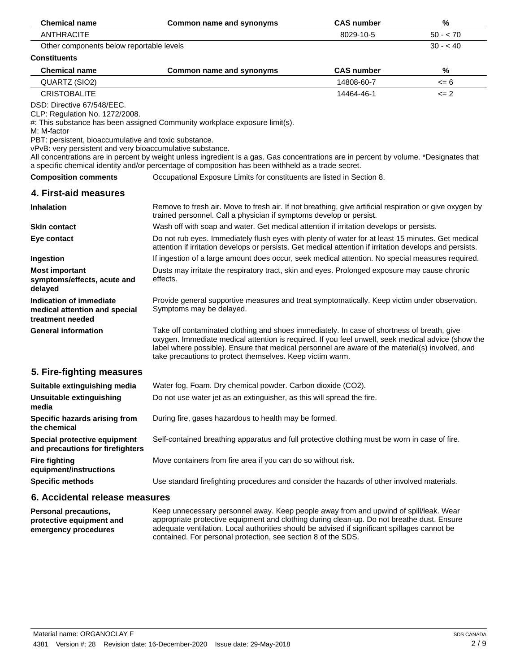| <b>Chemical name</b>                                                                                                                                                                              | Common name and synonyms                                                                                                                                                                                                                                                                                                                                         | <b>CAS number</b> | %         |  |
|---------------------------------------------------------------------------------------------------------------------------------------------------------------------------------------------------|------------------------------------------------------------------------------------------------------------------------------------------------------------------------------------------------------------------------------------------------------------------------------------------------------------------------------------------------------------------|-------------------|-----------|--|
| <b>ANTHRACITE</b>                                                                                                                                                                                 |                                                                                                                                                                                                                                                                                                                                                                  | 8029-10-5         | $50 - 70$ |  |
| $30 - 40$<br>Other components below reportable levels                                                                                                                                             |                                                                                                                                                                                                                                                                                                                                                                  |                   |           |  |
| <b>Constituents</b>                                                                                                                                                                               |                                                                                                                                                                                                                                                                                                                                                                  |                   |           |  |
| <b>Chemical name</b>                                                                                                                                                                              | <b>Common name and synonyms</b>                                                                                                                                                                                                                                                                                                                                  | <b>CAS number</b> | %         |  |
| QUARTZ (SIO2)                                                                                                                                                                                     |                                                                                                                                                                                                                                                                                                                                                                  | 14808-60-7        | $= 6$     |  |
| <b>CRISTOBALITE</b>                                                                                                                                                                               |                                                                                                                                                                                                                                                                                                                                                                  | 14464-46-1        | $\leq$ 2  |  |
| DSD: Directive 67/548/EEC.<br>CLP: Regulation No. 1272/2008.<br>M: M-factor<br>PBT: persistent, bioaccumulative and toxic substance.<br>vPvB: very persistent and very bioaccumulative substance. | #: This substance has been assigned Community workplace exposure limit(s).<br>All concentrations are in percent by weight unless ingredient is a gas. Gas concentrations are in percent by volume. *Designates that<br>a specific chemical identity and/or percentage of composition has been withheld as a trade secret.                                        |                   |           |  |
| <b>Composition comments</b>                                                                                                                                                                       | Occupational Exposure Limits for constituents are listed in Section 8.                                                                                                                                                                                                                                                                                           |                   |           |  |
| 4. First-aid measures                                                                                                                                                                             |                                                                                                                                                                                                                                                                                                                                                                  |                   |           |  |
| <b>Inhalation</b>                                                                                                                                                                                 | Remove to fresh air. Move to fresh air. If not breathing, give artificial respiration or give oxygen by<br>trained personnel. Call a physician if symptoms develop or persist.                                                                                                                                                                                   |                   |           |  |
| <b>Skin contact</b>                                                                                                                                                                               | Wash off with soap and water. Get medical attention if irritation develops or persists.                                                                                                                                                                                                                                                                          |                   |           |  |
| Eye contact                                                                                                                                                                                       | Do not rub eyes. Immediately flush eyes with plenty of water for at least 15 minutes. Get medical<br>attention if irritation develops or persists. Get medical attention if irritation develops and persists.                                                                                                                                                    |                   |           |  |
| Ingestion                                                                                                                                                                                         | If ingestion of a large amount does occur, seek medical attention. No special measures required.                                                                                                                                                                                                                                                                 |                   |           |  |
| <b>Most important</b><br>symptoms/effects, acute and<br>delayed                                                                                                                                   | Dusts may irritate the respiratory tract, skin and eyes. Prolonged exposure may cause chronic<br>effects.                                                                                                                                                                                                                                                        |                   |           |  |
| Indication of immediate<br>medical attention and special<br>treatment needed                                                                                                                      | Provide general supportive measures and treat symptomatically. Keep victim under observation.<br>Symptoms may be delayed.                                                                                                                                                                                                                                        |                   |           |  |
| <b>General information</b>                                                                                                                                                                        | Take off contaminated clothing and shoes immediately. In case of shortness of breath, give<br>oxygen. Immediate medical attention is required. If you feel unwell, seek medical advice (show the<br>label where possible). Ensure that medical personnel are aware of the material(s) involved, and<br>take precautions to protect themselves. Keep victim warm. |                   |           |  |
| 5. Fire-fighting measures                                                                                                                                                                         |                                                                                                                                                                                                                                                                                                                                                                  |                   |           |  |
| Suitable extinguishing media                                                                                                                                                                      | Water fog. Foam. Dry chemical powder. Carbon dioxide (CO2).                                                                                                                                                                                                                                                                                                      |                   |           |  |
| <b>Unsuitable extinguishing</b><br>media                                                                                                                                                          | Do not use water jet as an extinguisher, as this will spread the fire.                                                                                                                                                                                                                                                                                           |                   |           |  |
| Specific hazards arising from<br>the chemical                                                                                                                                                     | During fire, gases hazardous to health may be formed.                                                                                                                                                                                                                                                                                                            |                   |           |  |
| Special protective equipment<br>and precautions for firefighters                                                                                                                                  | Self-contained breathing apparatus and full protective clothing must be worn in case of fire.                                                                                                                                                                                                                                                                    |                   |           |  |
| <b>Fire fighting</b><br>equipment/instructions                                                                                                                                                    | Move containers from fire area if you can do so without risk.                                                                                                                                                                                                                                                                                                    |                   |           |  |
| <b>Specific methods</b>                                                                                                                                                                           | Use standard firefighting procedures and consider the hazards of other involved materials.                                                                                                                                                                                                                                                                       |                   |           |  |
|                                                                                                                                                                                                   | 6. Accidental release measures                                                                                                                                                                                                                                                                                                                                   |                   |           |  |

Keep unnecessary personnel away. Keep people away from and upwind of spill/leak. Wear appropriate protective equipment and clothing during clean-up. Do not breathe dust. Ensure adequate ventilation. Local authorities should be advised if significant spillages cannot be contained. For personal protection, see section 8 of the SDS. **Personal precautions, protective equipment and emergency procedures**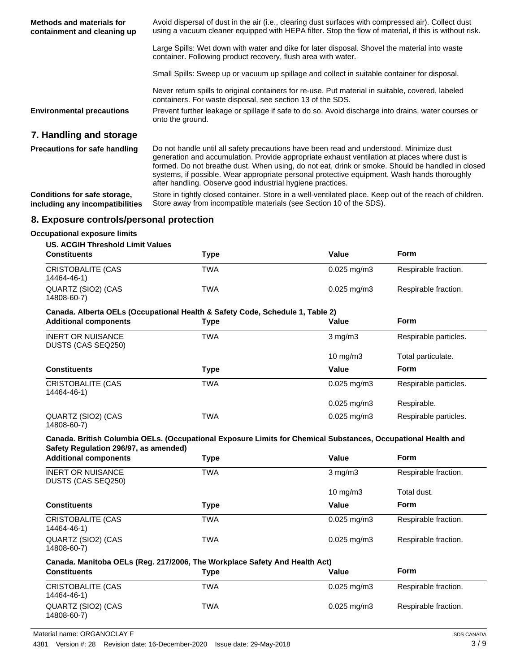| Methods and materials for<br>containment and cleaning up | Avoid dispersal of dust in the air (i.e., clearing dust surfaces with compressed air). Collect dust<br>using a vacuum cleaner equipped with HEPA filter. Stop the flow of material, if this is without risk.                                                                                |
|----------------------------------------------------------|---------------------------------------------------------------------------------------------------------------------------------------------------------------------------------------------------------------------------------------------------------------------------------------------|
|                                                          | Large Spills: Wet down with water and dike for later disposal. Shovel the material into waste<br>container. Following product recovery, flush area with water.                                                                                                                              |
|                                                          | Small Spills: Sweep up or vacuum up spillage and collect in suitable container for disposal.                                                                                                                                                                                                |
|                                                          | Never return spills to original containers for re-use. Put material in suitable, covered, labeled<br>containers. For waste disposal, see section 13 of the SDS.                                                                                                                             |
| <b>Environmental precautions</b>                         | Prevent further leakage or spillage if safe to do so. Avoid discharge into drains, water courses or<br>onto the ground.                                                                                                                                                                     |
| 7. Handling and storage                                  |                                                                                                                                                                                                                                                                                             |
| <b>Precautions for safe handling</b>                     | Do not handle until all safety precautions have been read and understood. Minimize dust<br>generation and accumulation. Provide appropriate exhaust ventilation at places where dust is<br>formed. Do not breathe dust. When using, do not eat, drink or smoke. Should be handled in closed |

Store in tightly closed container. Store in a well-ventilated place. Keep out of the reach of children. Store away from incompatible materials (see Section 10 of the SDS). **Conditions for safe storage, including any incompatibilities**

after handling. Observe good industrial hygiene practices.

systems, if possible. Wear appropriate personal protective equipment. Wash hands thoroughly

# **8. Exposure controls/personal protection**

#### **Occupational exposure limits**

#### **US. ACGIH Threshold Limit Values**

| <b>Constituents</b>               | Type | Value                    | Form                 |
|-----------------------------------|------|--------------------------|----------------------|
| CRISTOBALITE (CAS<br>14464-46-1)  | TWA  | $0.025 \text{ mg/m}$ 3   | Respirable fraction. |
| QUARTZ (SIO2) (CAS<br>14808-60-7) | TWA  | $0.025 \,\mathrm{mq/m3}$ | Respirable fraction. |

#### **Canada. Alberta OELs (Occupational Health & Safety Code, Schedule 1, Table 2)**

| <b>Additional components</b>                   | Type       | Value                  | <b>Form</b>           |
|------------------------------------------------|------------|------------------------|-----------------------|
| <b>INERT OR NUISANCE</b><br>DUSTS (CAS SEQ250) | <b>TWA</b> | $3 \text{ mg/m}$       | Respirable particles. |
|                                                |            | $10$ mg/m $3$          | Total particulate.    |
| <b>Constituents</b>                            | Type       | Value                  | <b>Form</b>           |
| <b>CRISTOBALITE (CAS</b><br>14464-46-1)        | TWA        | $0.025 \text{ mg/m}$ 3 | Respirable particles. |
|                                                |            | $0.025 \text{ mg/m}$ 3 | Respirable.           |
| QUARTZ (SIO2) (CAS<br>14808-60-7)              | TWA        | $0.025 \text{ mg/m}$ 3 | Respirable particles. |

#### **Canada. British Columbia OELs. (Occupational Exposure Limits for Chemical Substances, Occupational Health and Safety Regulation 296/97, as amended)**

| <b>Additional components</b>                   | Type | Value                  | <b>Form</b>          |
|------------------------------------------------|------|------------------------|----------------------|
| <b>INERT OR NUISANCE</b><br>DUSTS (CAS SEQ250) | TWA  | $3$ mg/m $3$           | Respirable fraction. |
|                                                |      | $10 \text{ mg/m}$      | Total dust.          |
| <b>Constituents</b>                            | Type | Value                  | <b>Form</b>          |
| <b>CRISTOBALITE (CAS</b><br>14464-46-1)        | TWA  | $0.025 \text{ mg/m}$ 3 | Respirable fraction. |
| QUARTZ (SIO2) (CAS<br>14808-60-7)              | TWA  | $0.025$ mg/m $3$       | Respirable fraction. |

#### **Canada. Manitoba OELs (Reg. 217/2006, The Workplace Safety And Health Act)**

| <b>Constituents</b>               | Type | Value                     | <b>Form</b>          |
|-----------------------------------|------|---------------------------|----------------------|
| CRISTOBALITE (CAS<br>14464-46-1)  | TWA  | $0.025 \,\mathrm{mq/m}$ 3 | Respirable fraction. |
| QUARTZ (SIO2) (CAS<br>14808-60-7) | TWA  | $0.025 \,\mathrm{mq/m}$ 3 | Respirable fraction. |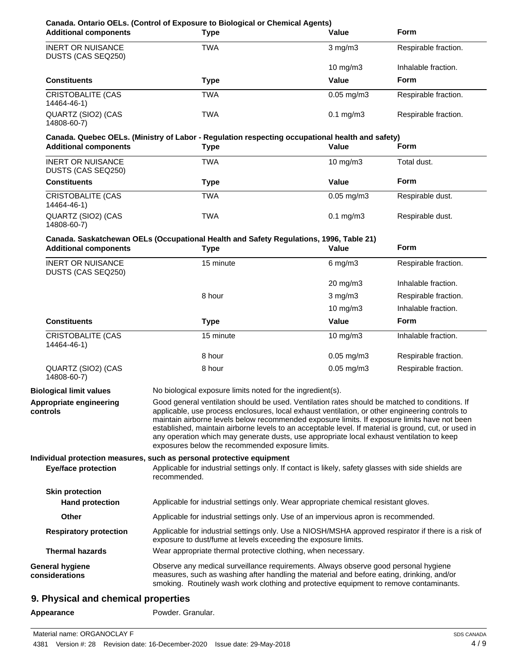| <b>Additional components</b>                     | <b>Type</b>                                                                                                                                                                                                                                                                                                                                                                                                                                                                                                                                                | Value           | <b>Form</b>          |
|--------------------------------------------------|------------------------------------------------------------------------------------------------------------------------------------------------------------------------------------------------------------------------------------------------------------------------------------------------------------------------------------------------------------------------------------------------------------------------------------------------------------------------------------------------------------------------------------------------------------|-----------------|----------------------|
| <b>INERT OR NUISANCE</b><br>DUSTS (CAS SEQ250)   | <b>TWA</b>                                                                                                                                                                                                                                                                                                                                                                                                                                                                                                                                                 | $3$ mg/m $3$    | Respirable fraction. |
|                                                  |                                                                                                                                                                                                                                                                                                                                                                                                                                                                                                                                                            | $10$ mg/m $3$   | Inhalable fraction.  |
| <b>Constituents</b>                              | <b>Type</b>                                                                                                                                                                                                                                                                                                                                                                                                                                                                                                                                                | Value           | Form                 |
| <b>CRISTOBALITE (CAS</b><br>14464-46-1)          | <b>TWA</b>                                                                                                                                                                                                                                                                                                                                                                                                                                                                                                                                                 | $0.05$ mg/m $3$ | Respirable fraction. |
| QUARTZ (SIO2) (CAS<br>14808-60-7)                | <b>TWA</b>                                                                                                                                                                                                                                                                                                                                                                                                                                                                                                                                                 | $0.1$ mg/m $3$  | Respirable fraction. |
|                                                  | Canada. Quebec OELs. (Ministry of Labor - Regulation respecting occupational health and safety)                                                                                                                                                                                                                                                                                                                                                                                                                                                            |                 |                      |
| <b>Additional components</b>                     | <b>Type</b>                                                                                                                                                                                                                                                                                                                                                                                                                                                                                                                                                | Value           | Form                 |
| <b>INERT OR NUISANCE</b><br>DUSTS (CAS SEQ250)   | <b>TWA</b>                                                                                                                                                                                                                                                                                                                                                                                                                                                                                                                                                 | 10 mg/m3        | Total dust.          |
| <b>Constituents</b>                              | <b>Type</b>                                                                                                                                                                                                                                                                                                                                                                                                                                                                                                                                                | Value           | Form                 |
| <b>CRISTOBALITE (CAS</b><br>14464-46-1)          | <b>TWA</b>                                                                                                                                                                                                                                                                                                                                                                                                                                                                                                                                                 | $0.05$ mg/m $3$ | Respirable dust.     |
| QUARTZ (SIO2) (CAS<br>14808-60-7)                | <b>TWA</b>                                                                                                                                                                                                                                                                                                                                                                                                                                                                                                                                                 | $0.1$ mg/m $3$  | Respirable dust.     |
|                                                  | Canada. Saskatchewan OELs (Occupational Health and Safety Regulations, 1996, Table 21)                                                                                                                                                                                                                                                                                                                                                                                                                                                                     |                 |                      |
| <b>Additional components</b>                     | <b>Type</b>                                                                                                                                                                                                                                                                                                                                                                                                                                                                                                                                                | Value           | <b>Form</b>          |
| <b>INERT OR NUISANCE</b><br>DUSTS (CAS SEQ250)   | 15 minute                                                                                                                                                                                                                                                                                                                                                                                                                                                                                                                                                  | $6$ mg/m $3$    | Respirable fraction. |
|                                                  |                                                                                                                                                                                                                                                                                                                                                                                                                                                                                                                                                            | 20 mg/m3        | Inhalable fraction.  |
|                                                  | 8 hour                                                                                                                                                                                                                                                                                                                                                                                                                                                                                                                                                     | $3$ mg/m $3$    | Respirable fraction. |
|                                                  |                                                                                                                                                                                                                                                                                                                                                                                                                                                                                                                                                            | 10 mg/m3        | Inhalable fraction.  |
| Constituents                                     | <b>Type</b>                                                                                                                                                                                                                                                                                                                                                                                                                                                                                                                                                | Value           | <b>Form</b>          |
| <b>CRISTOBALITE (CAS</b><br>14464-46-1)          | 15 minute                                                                                                                                                                                                                                                                                                                                                                                                                                                                                                                                                  | 10 mg/m3        | Inhalable fraction.  |
|                                                  | 8 hour                                                                                                                                                                                                                                                                                                                                                                                                                                                                                                                                                     | $0.05$ mg/m $3$ | Respirable fraction. |
| QUARTZ (SIO2) (CAS<br>14808-60-7)                | 8 hour                                                                                                                                                                                                                                                                                                                                                                                                                                                                                                                                                     | $0.05$ mg/m $3$ | Respirable fraction. |
| <b>Biological limit values</b>                   | No biological exposure limits noted for the ingredient(s).                                                                                                                                                                                                                                                                                                                                                                                                                                                                                                 |                 |                      |
| Appropriate engineering<br>controls              | Good general ventilation should be used. Ventilation rates should be matched to conditions. If<br>applicable, use process enclosures, local exhaust ventilation, or other engineering controls to<br>maintain airborne levels below recommended exposure limits. If exposure limits have not been<br>established, maintain airborne levels to an acceptable level. If material is ground, cut, or used in<br>any operation which may generate dusts, use appropriate local exhaust ventilation to keep<br>exposures below the recommended exposure limits. |                 |                      |
|                                                  | Individual protection measures, such as personal protective equipment                                                                                                                                                                                                                                                                                                                                                                                                                                                                                      |                 |                      |
| <b>Eye/face protection</b>                       | Applicable for industrial settings only. If contact is likely, safety glasses with side shields are<br>recommended.                                                                                                                                                                                                                                                                                                                                                                                                                                        |                 |                      |
| <b>Skin protection</b><br><b>Hand protection</b> | Applicable for industrial settings only. Wear appropriate chemical resistant gloves.                                                                                                                                                                                                                                                                                                                                                                                                                                                                       |                 |                      |
| Other                                            | Applicable for industrial settings only. Use of an impervious apron is recommended.                                                                                                                                                                                                                                                                                                                                                                                                                                                                        |                 |                      |
| <b>Respiratory protection</b>                    | Applicable for industrial settings only. Use a NIOSH/MSHA approved respirator if there is a risk of<br>exposure to dust/fume at levels exceeding the exposure limits.                                                                                                                                                                                                                                                                                                                                                                                      |                 |                      |
| <b>Thermal hazards</b>                           | Wear appropriate thermal protective clothing, when necessary.                                                                                                                                                                                                                                                                                                                                                                                                                                                                                              |                 |                      |
| <b>General hygiene</b><br>considerations         | Observe any medical surveillance requirements. Always observe good personal hygiene<br>measures, such as washing after handling the material and before eating, drinking, and/or<br>smoking. Routinely wash work clothing and protective equipment to remove contaminants.                                                                                                                                                                                                                                                                                 |                 |                      |

# **9. Physical and chemical properties**

Appearance **Powder.** Granular.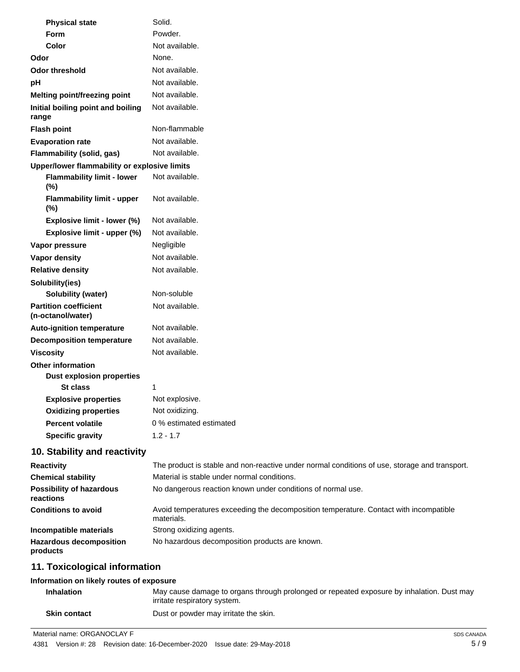| <b>Physical state</b>                             | Solid.                                                                                              |
|---------------------------------------------------|-----------------------------------------------------------------------------------------------------|
| Form                                              | Powder.                                                                                             |
| <b>Color</b>                                      | Not available.                                                                                      |
| Odor                                              | None.                                                                                               |
| <b>Odor threshold</b>                             | Not available.                                                                                      |
| pH                                                | Not available.                                                                                      |
| Melting point/freezing point                      | Not available.                                                                                      |
| Initial boiling point and boiling<br>range        | Not available.                                                                                      |
| <b>Flash point</b>                                | Non-flammable                                                                                       |
| <b>Evaporation rate</b>                           | Not available.                                                                                      |
| Flammability (solid, gas)                         | Not available.                                                                                      |
| Upper/lower flammability or explosive limits      |                                                                                                     |
| <b>Flammability limit - lower</b><br>$(\%)$       | Not available.                                                                                      |
| <b>Flammability limit - upper</b><br>$(\%)$       | Not available.                                                                                      |
| Explosive limit - lower (%)                       | Not available.                                                                                      |
| Explosive limit - upper (%)                       | Not available.                                                                                      |
| Vapor pressure                                    | Negligible                                                                                          |
| <b>Vapor density</b>                              | Not available.                                                                                      |
| <b>Relative density</b>                           | Not available.                                                                                      |
| Solubility(ies)                                   |                                                                                                     |
| <b>Solubility (water)</b>                         | Non-soluble                                                                                         |
| <b>Partition coefficient</b><br>(n-octanol/water) | Not available.                                                                                      |
| <b>Auto-ignition temperature</b>                  | Not available.                                                                                      |
| <b>Decomposition temperature</b>                  | Not available.                                                                                      |
| <b>Viscosity</b>                                  | Not available.                                                                                      |
| <b>Other information</b>                          |                                                                                                     |
| <b>Dust explosion properties</b>                  |                                                                                                     |
| St class                                          | 1                                                                                                   |
| <b>Explosive properties</b>                       | Not explosive.                                                                                      |
| <b>Oxidizing properties</b>                       | Not oxidizing.                                                                                      |
| <b>Percent volatile</b>                           | 0 % estimated estimated                                                                             |
| <b>Specific gravity</b>                           | $1.2 - 1.7$                                                                                         |
| 10. Stability and reactivity                      |                                                                                                     |
| <b>Reactivity</b>                                 | The product is stable and non-reactive under normal conditions of use, storage and transport.       |
| <b>Chemical stability</b>                         | Material is stable under normal conditions.                                                         |
| <b>Possibility of hazardous</b><br>reactions      | No dangerous reaction known under conditions of normal use.                                         |
| <b>Conditions to avoid</b>                        | Avoid temperatures exceeding the decomposition temperature. Contact with incompatible<br>materials. |
| Incompatible materials                            | Strong oxidizing agents.                                                                            |

# **11. Toxicological information**

**products**

#### **Information on likely routes of exposure**

| <b>Inhalation</b>   | May cause damage to organs through prolonged or repeated exposure by inhalation. Dust may<br>irritate respiratory system. |
|---------------------|---------------------------------------------------------------------------------------------------------------------------|
| <b>Skin contact</b> | Dust or powder may irritate the skin.                                                                                     |

Material name: ORGANOCLAY F

**Hazardous decomposition** No hazardous decomposition products are known.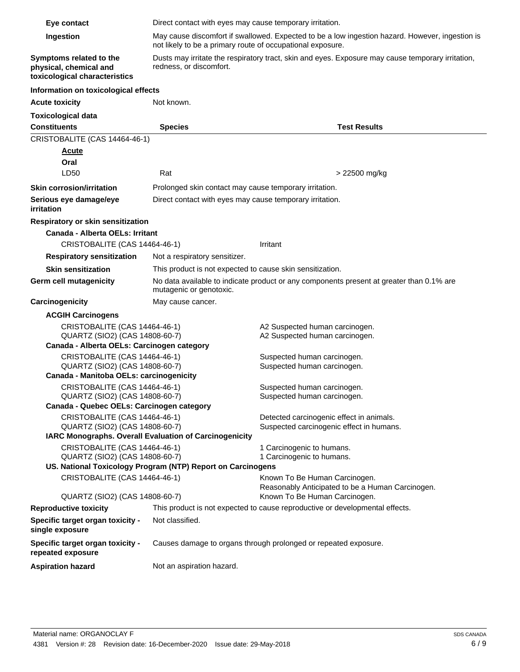| Eye contact                                                                        |                                                                                                                                                               |                                                                              |  |
|------------------------------------------------------------------------------------|---------------------------------------------------------------------------------------------------------------------------------------------------------------|------------------------------------------------------------------------------|--|
|                                                                                    | Direct contact with eyes may cause temporary irritation.                                                                                                      |                                                                              |  |
| Ingestion                                                                          | May cause discomfort if swallowed. Expected to be a low ingestion hazard. However, ingestion is<br>not likely to be a primary route of occupational exposure. |                                                                              |  |
| Symptoms related to the<br>physical, chemical and<br>toxicological characteristics | Dusts may irritate the respiratory tract, skin and eyes. Exposure may cause temporary irritation,<br>redness, or discomfort.                                  |                                                                              |  |
| Information on toxicological effects                                               |                                                                                                                                                               |                                                                              |  |
| <b>Acute toxicity</b>                                                              | Not known.                                                                                                                                                    |                                                                              |  |
| <b>Toxicological data</b>                                                          |                                                                                                                                                               |                                                                              |  |
| <b>Constituents</b>                                                                | <b>Species</b>                                                                                                                                                | <b>Test Results</b>                                                          |  |
| CRISTOBALITE (CAS 14464-46-1)                                                      |                                                                                                                                                               |                                                                              |  |
| <b>Acute</b>                                                                       |                                                                                                                                                               |                                                                              |  |
| Oral                                                                               |                                                                                                                                                               |                                                                              |  |
| LD50                                                                               | Rat                                                                                                                                                           | > 22500 mg/kg                                                                |  |
| <b>Skin corrosion/irritation</b>                                                   | Prolonged skin contact may cause temporary irritation.                                                                                                        |                                                                              |  |
| Serious eye damage/eye<br>irritation                                               | Direct contact with eyes may cause temporary irritation.                                                                                                      |                                                                              |  |
| Respiratory or skin sensitization                                                  |                                                                                                                                                               |                                                                              |  |
| Canada - Alberta OELs: Irritant                                                    |                                                                                                                                                               |                                                                              |  |
| CRISTOBALITE (CAS 14464-46-1)                                                      |                                                                                                                                                               | Irritant                                                                     |  |
| <b>Respiratory sensitization</b>                                                   | Not a respiratory sensitizer.                                                                                                                                 |                                                                              |  |
| <b>Skin sensitization</b>                                                          | This product is not expected to cause skin sensitization.                                                                                                     |                                                                              |  |
| Germ cell mutagenicity                                                             | No data available to indicate product or any components present at greater than 0.1% are<br>mutagenic or genotoxic.                                           |                                                                              |  |
| Carcinogenicity                                                                    | May cause cancer.                                                                                                                                             |                                                                              |  |
| <b>ACGIH Carcinogens</b>                                                           |                                                                                                                                                               |                                                                              |  |
| CRISTOBALITE (CAS 14464-46-1)<br>QUARTZ (SIO2) (CAS 14808-60-7)                    |                                                                                                                                                               | A2 Suspected human carcinogen.<br>A2 Suspected human carcinogen.             |  |
| Canada - Alberta OELs: Carcinogen category                                         |                                                                                                                                                               |                                                                              |  |
| CRISTOBALITE (CAS 14464-46-1)<br>Suspected human carcinogen.                       |                                                                                                                                                               |                                                                              |  |
| QUARTZ (SIO2) (CAS 14808-60-7)<br>Canada - Manitoba OELs: carcinogenicity          |                                                                                                                                                               | Suspected human carcinogen.                                                  |  |
|                                                                                    |                                                                                                                                                               |                                                                              |  |
| CRISTOBALITE (CAS 14464-46-1)<br>QUARTZ (SIO2) (CAS 14808-60-7)                    |                                                                                                                                                               | Suspected human carcinogen.<br>Suspected human carcinogen.                   |  |
| Canada - Quebec OELs: Carcinogen category                                          |                                                                                                                                                               |                                                                              |  |
| CRISTOBALITE (CAS 14464-46-1)                                                      |                                                                                                                                                               | Detected carcinogenic effect in animals.                                     |  |
| QUARTZ (SIO2) (CAS 14808-60-7)                                                     |                                                                                                                                                               | Suspected carcinogenic effect in humans.                                     |  |
| IARC Monographs. Overall Evaluation of Carcinogenicity                             |                                                                                                                                                               |                                                                              |  |
| CRISTOBALITE (CAS 14464-46-1)<br>QUARTZ (SIO2) (CAS 14808-60-7)                    |                                                                                                                                                               | 1 Carcinogenic to humans.<br>1 Carcinogenic to humans.                       |  |
|                                                                                    | US. National Toxicology Program (NTP) Report on Carcinogens                                                                                                   |                                                                              |  |
| CRISTOBALITE (CAS 14464-46-1)                                                      |                                                                                                                                                               | Known To Be Human Carcinogen.                                                |  |
|                                                                                    |                                                                                                                                                               | Reasonably Anticipated to be a Human Carcinogen.                             |  |
| QUARTZ (SIO2) (CAS 14808-60-7)                                                     |                                                                                                                                                               | Known To Be Human Carcinogen.                                                |  |
| <b>Reproductive toxicity</b>                                                       |                                                                                                                                                               | This product is not expected to cause reproductive or developmental effects. |  |
| Specific target organ toxicity -<br>single exposure                                | Not classified.                                                                                                                                               |                                                                              |  |
| Specific target organ toxicity -<br>repeated exposure                              | Causes damage to organs through prolonged or repeated exposure.                                                                                               |                                                                              |  |
| <b>Aspiration hazard</b>                                                           | Not an aspiration hazard.                                                                                                                                     |                                                                              |  |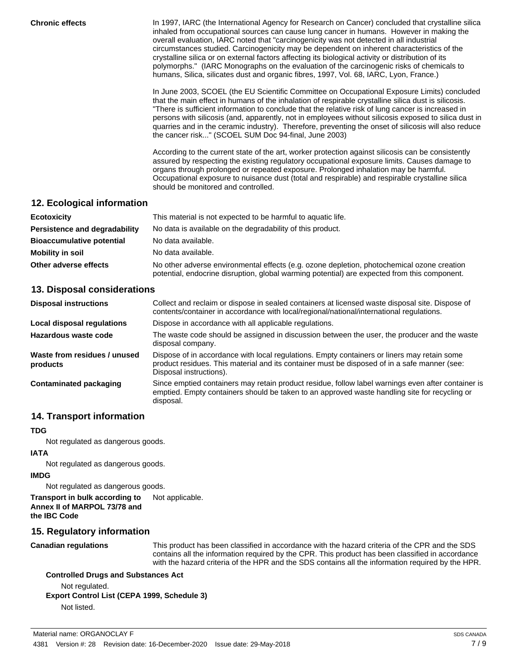**Chronic effects** In 1997, IARC (the International Agency for Research on Cancer) concluded that crystalline silica inhaled from occupational sources can cause lung cancer in humans. However in making the overall evaluation, IARC noted that "carcinogenicity was not detected in all industrial circumstances studied. Carcinogenicity may be dependent on inherent characteristics of the crystalline silica or on external factors affecting its biological activity or distribution of its polymorphs." (IARC Monographs on the evaluation of the carcinogenic risks of chemicals to humans, Silica, silicates dust and organic fibres, 1997, Vol. 68, IARC, Lyon, France.)

> In June 2003, SCOEL (the EU Scientific Committee on Occupational Exposure Limits) concluded that the main effect in humans of the inhalation of respirable crystalline silica dust is silicosis. "There is sufficient information to conclude that the relative risk of lung cancer is increased in persons with silicosis (and, apparently, not in employees without silicosis exposed to silica dust in quarries and in the ceramic industry). Therefore, preventing the onset of silicosis will also reduce the cancer risk..." (SCOEL SUM Doc 94-final, June 2003)

According to the current state of the art, worker protection against silicosis can be consistently assured by respecting the existing regulatory occupational exposure limits. Causes damage to organs through prolonged or repeated exposure. Prolonged inhalation may be harmful. Occupational exposure to nuisance dust (total and respirable) and respirable crystalline silica should be monitored and controlled.

# **12. Ecological information**

| <b>Ecotoxicity</b>               | This material is not expected to be harmful to aquatic life.                                                                                                                               |  |
|----------------------------------|--------------------------------------------------------------------------------------------------------------------------------------------------------------------------------------------|--|
| Persistence and degradability    | No data is available on the degradability of this product.                                                                                                                                 |  |
| <b>Bioaccumulative potential</b> | No data available.                                                                                                                                                                         |  |
| Mobility in soil                 | No data available.                                                                                                                                                                         |  |
| Other adverse effects            | No other adverse environmental effects (e.g. ozone depletion, photochemical ozone creation<br>potential, endocrine disruption, global warming potential) are expected from this component. |  |

# **13. Disposal considerations**

| <b>Disposal instructions</b>             | Collect and reclaim or dispose in sealed containers at licensed waste disposal site. Dispose of<br>contents/container in accordance with local/regional/national/international regulations.                            |
|------------------------------------------|------------------------------------------------------------------------------------------------------------------------------------------------------------------------------------------------------------------------|
| Local disposal regulations               | Dispose in accordance with all applicable regulations.                                                                                                                                                                 |
| Hazardous waste code                     | The waste code should be assigned in discussion between the user, the producer and the waste<br>disposal company.                                                                                                      |
| Waste from residues / unused<br>products | Dispose of in accordance with local regulations. Empty containers or liners may retain some<br>product residues. This material and its container must be disposed of in a safe manner (see:<br>Disposal instructions). |
| Contaminated packaging                   | Since emptied containers may retain product residue, follow label warnings even after container is<br>emptied. Empty containers should be taken to an approved waste handling site for recycling or<br>disposal.       |

# **14. Transport information**

#### **TDG**

Not regulated as dangerous goods.

#### **IATA**

Not regulated as dangerous goods.

#### **IMDG**

Not regulated as dangerous goods.

**Transport in bulk according to** Not applicable. **Annex II of MARPOL 73/78 and the IBC Code**

# **15. Regulatory information**

**Canadian regulations**

This product has been classified in accordance with the hazard criteria of the CPR and the SDS contains all the information required by the CPR. This product has been classified in accordance with the hazard criteria of the HPR and the SDS contains all the information required by the HPR.

# **Controlled Drugs and Substances Act**

Not regulated. **Export Control List (CEPA 1999, Schedule 3)**

Not listed.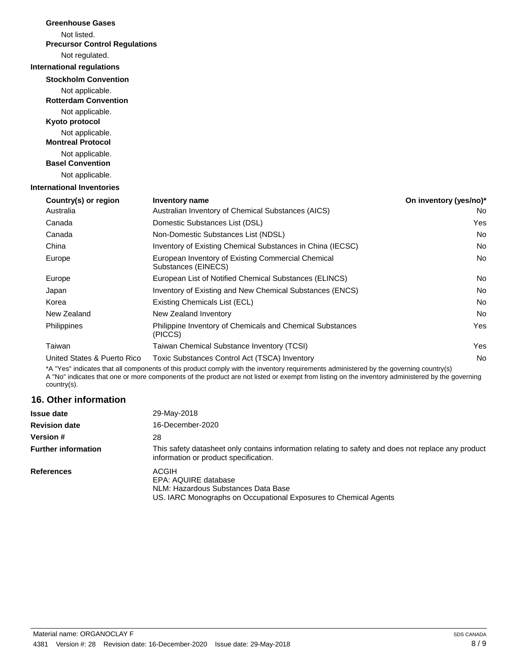| <b>Greenhouse Gases</b>                        |                                                                           |                        |
|------------------------------------------------|---------------------------------------------------------------------------|------------------------|
| Not listed.                                    |                                                                           |                        |
| <b>Precursor Control Regulations</b>           |                                                                           |                        |
| Not regulated.                                 |                                                                           |                        |
| <b>International regulations</b>               |                                                                           |                        |
| <b>Stockholm Convention</b>                    |                                                                           |                        |
| Not applicable.<br><b>Rotterdam Convention</b> |                                                                           |                        |
| Not applicable.<br>Kyoto protocol              |                                                                           |                        |
| Not applicable.<br><b>Montreal Protocol</b>    |                                                                           |                        |
| Not applicable.<br><b>Basel Convention</b>     |                                                                           |                        |
| Not applicable.                                |                                                                           |                        |
| <b>International Inventories</b>               |                                                                           |                        |
| Country(s) or region                           | <b>Inventory name</b>                                                     | On inventory (yes/no)* |
| Australia                                      | Australian Inventory of Chemical Substances (AICS)                        | No                     |
| Canada                                         | Domestic Substances List (DSL)                                            | Yes                    |
| Canada                                         | Non-Domestic Substances List (NDSL)                                       | No                     |
| China                                          | Inventory of Existing Chemical Substances in China (IECSC)                | No                     |
| Europe                                         | European Inventory of Existing Commercial Chemical<br>Substances (EINECS) | No                     |
| Europe                                         | European List of Notified Chemical Substances (ELINCS)                    | No                     |
| Japan                                          | Inventory of Existing and New Chemical Substances (ENCS)                  | No                     |
| Korea                                          | Existing Chemicals List (ECL)                                             | No                     |
| New Zealand                                    | New Zealand Inventory                                                     | <b>No</b>              |
| Philippines                                    | Philippine Inventory of Chemicals and Chemical Substances<br>(PICCS)      | Yes                    |
| Taiwan                                         | Taiwan Chemical Substance Inventory (TCSI)                                | Yes                    |
| United States & Puerto Rico                    | Toxic Substances Control Act (TSCA) Inventory                             | No                     |
|                                                |                                                                           |                        |

\*A "Yes" indicates that all components of this product comply with the inventory requirements administered by the governing country(s) A "No" indicates that one or more components of the product are not listed or exempt from listing on the inventory administered by the governing country(s).

# **16. Other information**

| <b>Issue date</b>          | 29-May-2018                                                                                                                                  |
|----------------------------|----------------------------------------------------------------------------------------------------------------------------------------------|
| <b>Revision date</b>       | 16-December-2020                                                                                                                             |
| <b>Version #</b>           | 28                                                                                                                                           |
| <b>Further information</b> | This safety datasheet only contains information relating to safety and does not replace any product<br>information or product specification. |
| <b>References</b>          | ACGIH<br>EPA: AQUIRE database<br>NLM: Hazardous Substances Data Base<br>US. IARC Monographs on Occupational Exposures to Chemical Agents     |